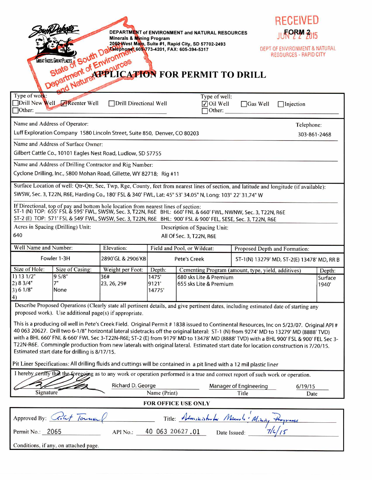|                                                                                                                                                                                                                                                                                                                   |             |                    |                                                              |                                                                      |                             |                                                              | <b>RECEIVED</b>                                                |  |  |
|-------------------------------------------------------------------------------------------------------------------------------------------------------------------------------------------------------------------------------------------------------------------------------------------------------------------|-------------|--------------------|--------------------------------------------------------------|----------------------------------------------------------------------|-----------------------------|--------------------------------------------------------------|----------------------------------------------------------------|--|--|
| DEPARTMENT of ENVIRONMENT and NATURAL RESOURCES                                                                                                                                                                                                                                                                   |             |                    |                                                              |                                                                      |                             |                                                              | <b>NPRY 2015</b>                                               |  |  |
| 2050 West Main, Suite #1, Rapid City, SD 57702-2493                                                                                                                                                                                                                                                               |             |                    |                                                              |                                                                      |                             |                                                              |                                                                |  |  |
|                                                                                                                                                                                                                                                                                                                   |             |                    |                                                              |                                                                      |                             |                                                              | DEPT OF ENVIRONMENT & NATURAL<br><b>RESOURCES - RAPID CITY</b> |  |  |
|                                                                                                                                                                                                                                                                                                                   |             |                    |                                                              |                                                                      |                             |                                                              |                                                                |  |  |
| State of Environment Cost Main, Suite #1, Rapid City, SD 5771<br>Department of Environment<br>State of State of Environment CAPTON FOR PERMIT TO DRILL                                                                                                                                                            |             |                    |                                                              |                                                                      |                             |                                                              |                                                                |  |  |
|                                                                                                                                                                                                                                                                                                                   |             |                    |                                                              |                                                                      |                             |                                                              |                                                                |  |  |
| Type of work:<br>Type of well:                                                                                                                                                                                                                                                                                    |             |                    |                                                              |                                                                      |                             |                                                              |                                                                |  |  |
| Drill New Well Reenter Well<br>Drill Directional Well<br>$\Box$ Other:                                                                                                                                                                                                                                            |             |                    |                                                              |                                                                      | $\nabla$ Oil Well<br>Other: | $\Box$ Gas Well                                              | $\Box$ Injection                                               |  |  |
| Name and Address of Operator:<br>Telephone:                                                                                                                                                                                                                                                                       |             |                    |                                                              |                                                                      |                             |                                                              |                                                                |  |  |
| Luff Exploration Company 1580 Lincoln Street, Suite 850, Denver, CO 80203                                                                                                                                                                                                                                         |             |                    |                                                              |                                                                      |                             | 303-861-2468                                                 |                                                                |  |  |
| Name and Address of Surface Owner:                                                                                                                                                                                                                                                                                |             |                    |                                                              |                                                                      |                             |                                                              |                                                                |  |  |
| Gilbert Cattle Co., 10101 Eagles Nest Road, Ludlow, SD 57755                                                                                                                                                                                                                                                      |             |                    |                                                              |                                                                      |                             |                                                              |                                                                |  |  |
| Name and Address of Drilling Contractor and Rig Number:                                                                                                                                                                                                                                                           |             |                    |                                                              |                                                                      |                             |                                                              |                                                                |  |  |
| Cyclone Drilling, Inc., 5800 Mohan Road, Gillette, WY 82718; Rig #11                                                                                                                                                                                                                                              |             |                    |                                                              |                                                                      |                             |                                                              |                                                                |  |  |
| Surface Location of well: Qtr-Qtr, Sec, Twp, Rge, County, feet from nearest lines of section, and latitude and longitude (if available):                                                                                                                                                                          |             |                    |                                                              |                                                                      |                             |                                                              |                                                                |  |  |
| SWSW, Sec. 3, T22N, R6E, Harding Co., 180' FSL & 340' FWL, Lat: 45° 53' 34.05" N, Long: 103° 22' 31.74" W                                                                                                                                                                                                         |             |                    |                                                              |                                                                      |                             |                                                              |                                                                |  |  |
| If Directional, top of pay and bottom hole location from nearest lines of section:<br>ST-1 (N) TOP: 655' FSL & 595' FWL, SWSW, Sec. 3, T22N, R6E BHL: 660' FNL & 660' FWL, NWNW, Sec. 3, T22N, R6E<br>ST-2 (E) TOP: 571'FSL & 549' FWL, SWSW, Sec. 3, T22N, R6E BHL: 900' FSL & 900' FEL, SESE, Sec. 3, T22N, R6E |             |                    |                                                              |                                                                      |                             |                                                              |                                                                |  |  |
| Acres in Spacing (Drilling) Unit:<br>Description of Spacing Unit:                                                                                                                                                                                                                                                 |             |                    |                                                              |                                                                      |                             |                                                              |                                                                |  |  |
| 640<br>All Of Sec. 3, T22N, R6E                                                                                                                                                                                                                                                                                   |             |                    |                                                              |                                                                      |                             |                                                              |                                                                |  |  |
| Well Name and Number:                                                                                                                                                                                                                                                                                             |             | Elevation:         | Field and Pool, or Wildcat:<br>Proposed Depth and Formation: |                                                                      |                             |                                                              |                                                                |  |  |
| Fowler 1-3H                                                                                                                                                                                                                                                                                                       |             | 2890'GL & 2906'KB  | Pete's Creek                                                 |                                                                      |                             | ST-1(N) 13279' MD, ST-2(E) 13478' MD, RR B                   |                                                                |  |  |
| Size of Hole:<br>Size of Casing:                                                                                                                                                                                                                                                                                  |             | Weight per Foot:   | Depth:                                                       |                                                                      |                             | Cementing Program (amount, type, yield, additives)<br>Depth: |                                                                |  |  |
| 1) 13 1/2"<br>2) 8 3/4"                                                                                                                                                                                                                                                                                           | 95/8"<br>7" | 36#<br>23, 26, 29# | 1475'<br>9121'                                               | 680 sks Lite & Premium<br>Surface<br>655 sks Lite & Premium<br>1940' |                             |                                                              |                                                                |  |  |
| 3) 6 1/8"                                                                                                                                                                                                                                                                                                         | None        |                    | 14775'                                                       |                                                                      |                             |                                                              |                                                                |  |  |
| 4)<br>Describe Proposed Operations (Clearly state all pertinent details, and give pertinent dates, including estimated date of starting any                                                                                                                                                                       |             |                    |                                                              |                                                                      |                             |                                                              |                                                                |  |  |
| proposed work). Use additional page(s) if appropriate.                                                                                                                                                                                                                                                            |             |                    |                                                              |                                                                      |                             |                                                              |                                                                |  |  |
| This is a producing oil well in Pete's Creek Field. Original Permit #1838 issued to Continental Resources, Inc on 5/23/07. Original API #                                                                                                                                                                         |             |                    |                                                              |                                                                      |                             |                                                              |                                                                |  |  |
| 40 063 20627. Drill two 6-1/8" horizontal lateral sidetracks off the original lateral: ST-1 (N) from 9274' MD to 13279' MD (8888' TVD)                                                                                                                                                                            |             |                    |                                                              |                                                                      |                             |                                                              |                                                                |  |  |
| with a BHL 660' FNL & 660' FWL Sec 3-T22N-R6E; ST-2 (E) from 9179' MD to 13478' MD (8888' TVD) with a BHL 900' FSL & 900' FEL Sec 3-<br>T22N-R6E. Commingle production from new laterals with original lateral. Estimated start date for location construction is 7/20/15.                                        |             |                    |                                                              |                                                                      |                             |                                                              |                                                                |  |  |
| Estimated start date for drilling is 8/17/15.                                                                                                                                                                                                                                                                     |             |                    |                                                              |                                                                      |                             |                                                              |                                                                |  |  |
| Pit Liner Specifications: All drilling fluids and cuttings will be contained in a pit lined with a 12 mil plastic liner                                                                                                                                                                                           |             |                    |                                                              |                                                                      |                             |                                                              |                                                                |  |  |
| I hereby certify that the foregoing as to any work or operation performed is a true and correct report of such work or operation.                                                                                                                                                                                 |             |                    |                                                              |                                                                      |                             |                                                              |                                                                |  |  |
| Richard D. George<br>Manager of Engineering<br>6/19/15                                                                                                                                                                                                                                                            |             |                    |                                                              |                                                                      |                             |                                                              |                                                                |  |  |
| <b>Signature</b>                                                                                                                                                                                                                                                                                                  |             |                    | Name (Print)                                                 |                                                                      |                             | Title<br>Date                                                |                                                                |  |  |
| FOR OFFICE USE ONLY                                                                                                                                                                                                                                                                                               |             |                    |                                                              |                                                                      |                             |                                                              |                                                                |  |  |
| Approved By: $\bigcirc$<br>Title: Alminishola Marshi Mine<br>10.45                                                                                                                                                                                                                                                |             |                    |                                                              |                                                                      |                             |                                                              |                                                                |  |  |
| Permit No.: 2065                                                                                                                                                                                                                                                                                                  |             | API No.:           | 40 063 20627.01                                              |                                                                      | Date Issued:                |                                                              |                                                                |  |  |
| Conditions, if any, on attached page.                                                                                                                                                                                                                                                                             |             |                    |                                                              |                                                                      |                             |                                                              |                                                                |  |  |